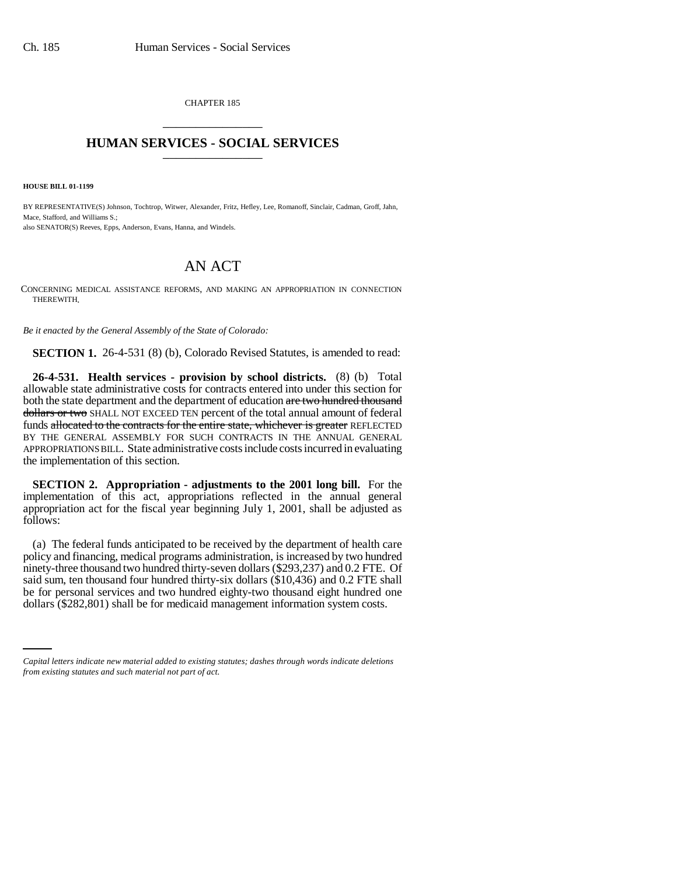CHAPTER 185 \_\_\_\_\_\_\_\_\_\_\_\_\_\_\_

## **HUMAN SERVICES - SOCIAL SERVICES** \_\_\_\_\_\_\_\_\_\_\_\_\_\_\_

**HOUSE BILL 01-1199**

BY REPRESENTATIVE(S) Johnson, Tochtrop, Witwer, Alexander, Fritz, Hefley, Lee, Romanoff, Sinclair, Cadman, Groff, Jahn, Mace, Stafford, and Williams S.; also SENATOR(S) Reeves, Epps, Anderson, Evans, Hanna, and Windels.

## AN ACT

CONCERNING MEDICAL ASSISTANCE REFORMS, AND MAKING AN APPROPRIATION IN CONNECTION THEREWITH.

*Be it enacted by the General Assembly of the State of Colorado:*

**SECTION 1.** 26-4-531 (8) (b), Colorado Revised Statutes, is amended to read:

**26-4-531. Health services - provision by school districts.** (8) (b) Total allowable state administrative costs for contracts entered into under this section for both the state department and the department of education are two hundred thousand dollars or two SHALL NOT EXCEED TEN percent of the total annual amount of federal funds allocated to the contracts for the entire state, whichever is greater REFLECTED BY THE GENERAL ASSEMBLY FOR SUCH CONTRACTS IN THE ANNUAL GENERAL APPROPRIATIONS BILL. State administrative costs include costs incurred in evaluating the implementation of this section.

**SECTION 2. Appropriation - adjustments to the 2001 long bill.** For the implementation of this act, appropriations reflected in the annual general appropriation act for the fiscal year beginning July 1, 2001, shall be adjusted as follows:

be for personal services and two hundred eighty-two thousand eight hundred one (a) The federal funds anticipated to be received by the department of health care policy and financing, medical programs administration, is increased by two hundred ninety-three thousand two hundred thirty-seven dollars (\$293,237) and 0.2 FTE. Of said sum, ten thousand four hundred thirty-six dollars (\$10,436) and 0.2 FTE shall dollars (\$282,801) shall be for medicaid management information system costs.

*Capital letters indicate new material added to existing statutes; dashes through words indicate deletions from existing statutes and such material not part of act.*